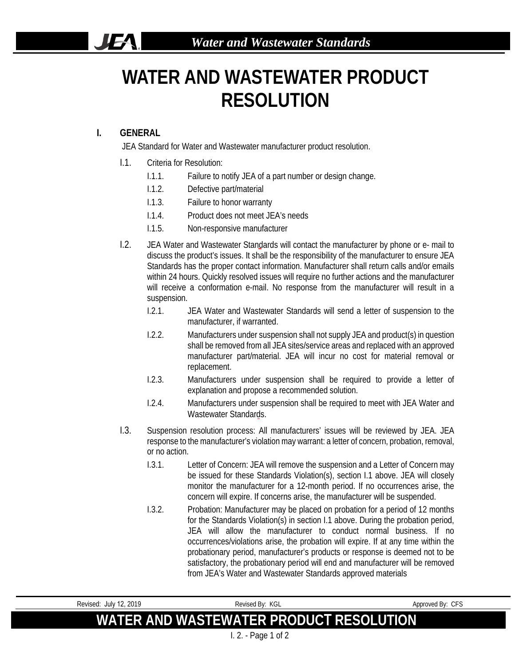## **WATER AND WASTEWATER PRODUCT RESOLUTION**

## **I. GENERAL**

 $\mathbf{F}$ 

JEA Standard for Water and Wastewater manufacturer product resolution.

- I.1. Criteria for Resolution:
	- I.1.1. Failure to notify JEA of a part number or design change.
	- I.1.2. Defective part/material
	- I.1.3. Failure to honor warranty
	- I.1.4. Product does not meet JEA's needs
	- I.1.5. Non-responsive manufacturer
- I.2. JEA Water and Wastewater Standards will contact the manufacturer by phone or e- mail to discuss the product's issues. It shall be the responsibility of the manufacturer to ensure JEA Standards has the proper contact information. Manufacturer shall return calls and/or emails within 24 hours. Quickly resolved issues will require no further actions and the manufacturer will receive a conformation e-mail. No response from the manufacturer will result in a suspension.
	- I.2.1. JEA Water and Wastewater Standards will send a letter of suspension to the manufacturer, if warranted.
	- I.2.2. Manufacturers under suspension shall not supply JEA and product(s) in question shall be removed from all JEA sites/service areas and replaced with an approved manufacturer part/material. JEA will incur no cost for material removal or replacement.
	- I.2.3. Manufacturers under suspension shall be required to provide a letter of explanation and propose a recommended solution.
	- I.2.4. Manufacturers under suspension shall be required to meet with JEA Water and Wastewater Standards.
- I.3. Suspension resolution process: All manufacturers' issues will be reviewed by JEA. JEA response to the manufacturer's violation may warrant: a letter of concern, probation, removal, or no action.
	- I.3.1. Letter of Concern: JEA will remove the suspension and a Letter of Concern may be issued for these Standards Violation(s), section I.1 above. JEA will closely monitor the manufacturer for a 12-month period. If no occurrences arise, the concern will expire. If concerns arise, the manufacturer will be suspended.
	- I.3.2. Probation: Manufacturer may be placed on probation for a period of 12 months for the Standards Violation(s) in section I.1 above. During the probation period, JEA will allow the manufacturer to conduct normal business. If no occurrences/violations arise, the probation will expire. If at any time within the probationary period, manufacturer's products or response is deemed not to be satisfactory, the probationary period will end and manufacturer will be removed from JEA's Water and Wastewater Standards approved materials

| Revised: July 12, 2019 | Revised By: KGL                         | Approved By: CFS |
|------------------------|-----------------------------------------|------------------|
|                        | WATER AND WASTEWATER PRODUCT RESOLUTION |                  |